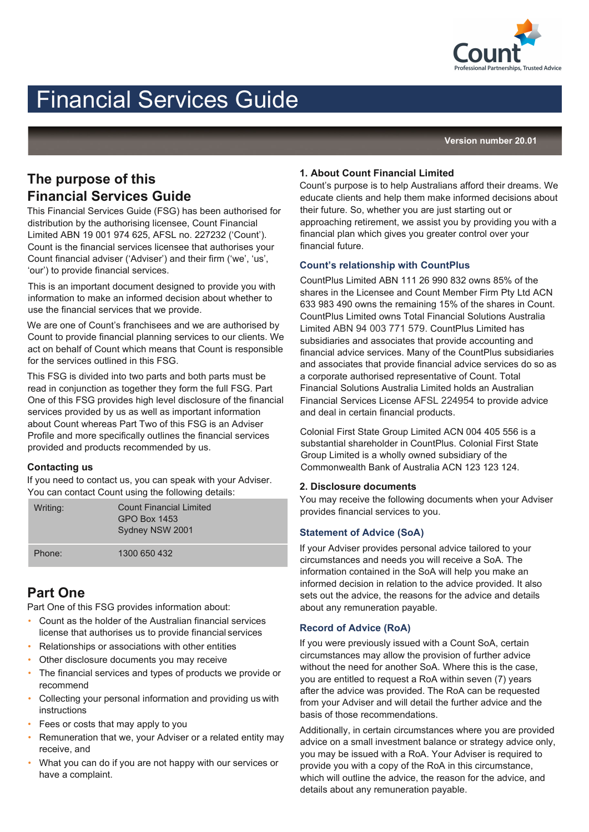

# Financial Services Guide

**Version number 20.01**

# **The purpose of this Financial Services Guide**

This Financial Services Guide (FSG) has been authorised for distribution by the authorising licensee, Count Financial Limited ABN 19 001 974 625, AFSL no. 227232 ('Count'). Count is the financial services licensee that authorises your Count financial adviser ('Adviser') and their firm ('we', 'us', 'our') to provide financial services.

This is an important document designed to provide you with information to make an informed decision about whether to use the financial services that we provide.

We are one of Count's franchisees and we are authorised by Count to provide financial planning services to our clients. We act on behalf of Count which means that Count is responsible for the services outlined in this FSG.

This FSG is divided into two parts and both parts must be read in conjunction as together they form the full FSG. Part One of this FSG provides high level disclosure of the financial services provided by us as well as important information about Count whereas Part Two of this FSG is an Adviser Profile and more specifically outlines the financial services provided and products recommended by us.

#### **Contacting us**

If you need to contact us, you can speak with your Adviser. You can contact Count using the following details:

| Writing: | <b>Count Financial Limited</b><br><b>GPO Box 1453</b><br>Sydney NSW 2001 |  |
|----------|--------------------------------------------------------------------------|--|
| Phone:   | 1300 650 432                                                             |  |

## **Part One**

Part One of this FSG provides information about:

- Count as the holder of the Australian financial services license that authorises us to provide financial services
- Relationships or associations with other entities
- Other disclosure documents you may receive
- The financial services and types of products we provide or recommend
- Collecting your personal information and providing us with instructions
- Fees or costs that may apply to you
- Remuneration that we, your Adviser or a related entity may receive, and
- What you can do if you are not happy with our services or have a complaint.

#### **1. About Count Financial Limited**

Count's purpose is to help Australians afford their dreams. We educate clients and help them make informed decisions about their future. So, whether you are just starting out or approaching retirement, we assist you by providing you with a financial plan which gives you greater control over your financial future.

#### **Count's relationship with CountPlus**

CountPlus Limited ABN 111 26 990 832 owns 85% of the shares in the Licensee and Count Member Firm Pty Ltd ACN 633 983 490 owns the remaining 15% of the shares in Count. CountPlus Limited owns Total Financial Solutions Australia Limited ABN 94 003 771 579. CountPlus Limited has subsidiaries and associates that provide accounting and financial advice services. Many of the CountPlus subsidiaries and associates that provide financial advice services do so as a corporate authorised representative of Count. Total Financial Solutions Australia Limited holds an Australian Financial Services License AFSL 224954 to provide advice and deal in certain financial products.

Colonial First State Group Limited ACN 004 405 556 is a substantial shareholder in CountPlus. Colonial First State Group Limited is a wholly owned subsidiary of the Commonwealth Bank of Australia ACN 123 123 124.

#### **2. Disclosure documents**

You may receive the following documents when your Adviser provides financial services to you.

### **Statement of Advice (SoA)**

If your Adviser provides personal advice tailored to your circumstances and needs you will receive a SoA. The information contained in the SoA will help you make an informed decision in relation to the advice provided. It also sets out the advice, the reasons for the advice and details about any remuneration payable.

#### **Record of Advice (RoA)**

If you were previously issued with a Count SoA, certain circumstances may allow the provision of further advice without the need for another SoA. Where this is the case, you are entitled to request a RoA within seven (7) years after the advice was provided. The RoA can be requested from your Adviser and will detail the further advice and the basis of those recommendations.

Additionally, in certain circumstances where you are provided advice on a small investment balance or strategy advice only, you may be issued with a RoA. Your Adviser is required to provide you with a copy of the RoA in this circumstance, which will outline the advice, the reason for the advice, and details about any remuneration payable.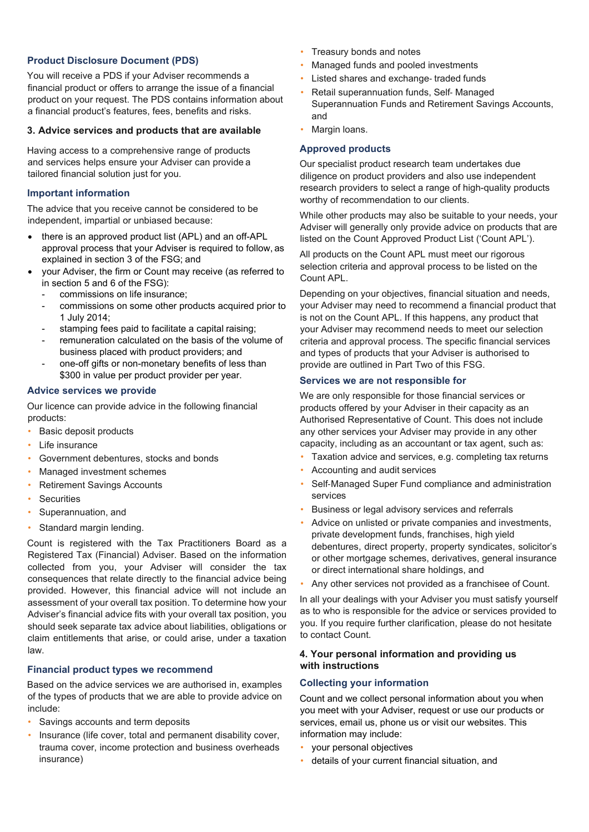#### **Product Disclosure Document (PDS)**

You will receive a PDS if your Adviser recommends a financial product or offers to arrange the issue of a financial product on your request. The PDS contains information about a financial product's features, fees, benefits and risks.

#### **3. Advice services and products that are available**

Having access to a comprehensive range of products and services helps ensure your Adviser can provide a tailored financial solution just for you.

#### **Important information**

The advice that you receive cannot be considered to be independent, impartial or unbiased because:

- there is an approved product list (APL) and an off-APL approval process that your Adviser is required to follow, as explained in section 3 of the FSG; and
- your Adviser, the firm or Count may receive (as referred to in section 5 and 6 of the FSG):
	- commissions on life insurance:
	- commissions on some other products acquired prior to 1 July 2014;
	- stamping fees paid to facilitate a capital raising;
	- remuneration calculated on the basis of the volume of business placed with product providers; and
	- one-off gifts or non-monetary benefits of less than \$300 in value per product provider per year.

#### **Advice services we provide**

Our licence can provide advice in the following financial products:

- Basic deposit products
- Life insurance
- Government debentures, stocks and bonds
- Managed investment schemes
- Retirement Savings Accounts
- **Securities**
- Superannuation, and
- Standard margin lending.

Count is registered with the Tax Practitioners Board as a Registered Tax (Financial) Adviser. Based on the information collected from you, your Adviser will consider the tax consequences that relate directly to the financial advice being provided. However, this financial advice will not include an assessment of your overall tax position. To determine how your Adviser's financial advice fits with your overall tax position, you should seek separate tax advice about liabilities, obligations or claim entitlements that arise, or could arise, under a taxation law.

#### **Financial product types we recommend**

Based on the advice services we are authorised in, examples of the types of products that we are able to provide advice on include:

- Savings accounts and term deposits
- Insurance (life cover, total and permanent disability cover, trauma cover, income protection and business overheads insurance)
- Treasury bonds and notes
- Managed funds and pooled investments
- Listed shares and exchange-traded funds
- Retail superannuation funds, Self‑ Managed Superannuation Funds and Retirement Savings Accounts, and
- Margin loans.

#### **Approved products**

Our specialist product research team undertakes due diligence on product providers and also use independent research providers to select a range of high-quality products worthy of recommendation to our clients.

While other products may also be suitable to your needs, your Adviser will generally only provide advice on products that are listed on the Count Approved Product List ('Count APL').

All products on the Count APL must meet our rigorous selection criteria and approval process to be listed on the Count APL.

Depending on your objectives, financial situation and needs, your Adviser may need to recommend a financial product that is not on the Count APL. If this happens, any product that your Adviser may recommend needs to meet our selection criteria and approval process. The specific financial services and types of products that your Adviser is authorised to provide are outlined in Part Two of this FSG.

#### **Services we are not responsible for**

We are only responsible for those financial services or products offered by your Adviser in their capacity as an Authorised Representative of Count. This does not include any other services your Adviser may provide in any other capacity, including as an accountant or tax agent, such as:

- Taxation advice and services, e.g. completing tax returns
- Accounting and audit services
- Self-Managed Super Fund compliance and administration services
- Business or legal advisory services and referrals
- Advice on unlisted or private companies and investments, private development funds, franchises, high yield debentures, direct property, property syndicates, solicitor's or other mortgage schemes, derivatives, general insurance or direct international share holdings, and
- Any other services not provided as a franchisee of Count.

In all your dealings with your Adviser you must satisfy yourself as to who is responsible for the advice or services provided to you. If you require further clarification, please do not hesitate to contact Count.

#### **4. Your personal information and providing us with instructions**

#### **Collecting your information**

Count and we collect personal information about you when you meet with your Adviser, request or use our products or services, email us, phone us or visit our websites. This information may include:

- your personal objectives
- details of your current financial situation, and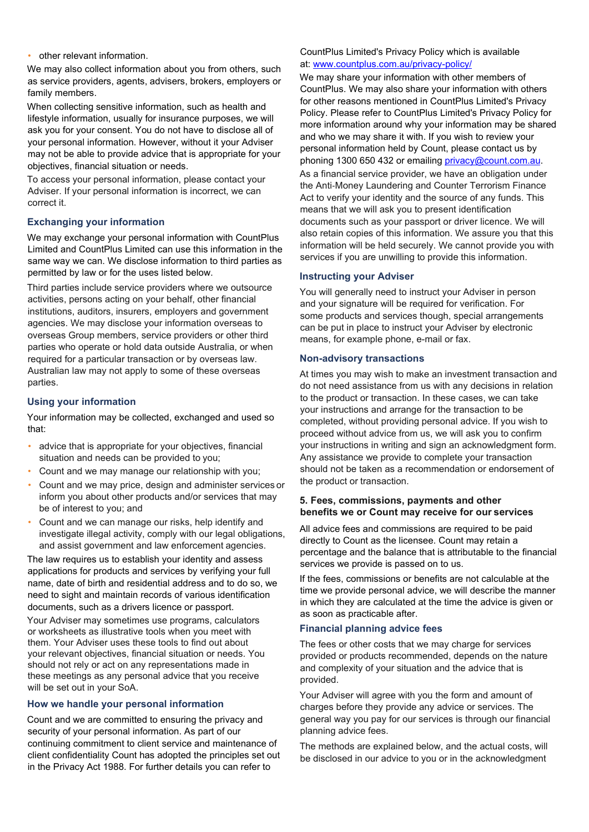#### • other relevant information.

We may also collect information about you from others, such as service providers, agents, advisers, brokers, employers or family members.

When collecting sensitive information, such as health and lifestyle information, usually for insurance purposes, we will ask you for your consent. You do not have to disclose all of your personal information. However, without it your Adviser may not be able to provide advice that is appropriate for your objectives, financial situation or needs.

To access your personal information, please contact your Adviser. If your personal information is incorrect, we can correct it.

#### **Exchanging your information**

We may exchange your personal information with CountPlus Limited and CountPlus Limited can use this information in the same way we can. We disclose information to third parties as permitted by law or for the uses listed below.

Third parties include service providers where we outsource activities, persons acting on your behalf, other financial institutions, auditors, insurers, employers and government agencies. We may disclose your information overseas to overseas Group members, service providers or other third parties who operate or hold data outside Australia, or when required for a particular transaction or by overseas law. Australian law may not apply to some of these overseas parties.

#### **Using your information**

Your information may be collected, exchanged and used so that:

- advice that is appropriate for your objectives, financial situation and needs can be provided to you;
- Count and we may manage our relationship with you;
- Count and we may price, design and administer services or inform you about other products and/or services that may be of interest to you; and
- Count and we can manage our risks, help identify and investigate illegal activity, comply with our legal obligations, and assist government and law enforcement agencies.

The law requires us to establish your identity and assess applications for products and services by verifying your full name, date of birth and residential address and to do so, we need to sight and maintain records of various identification documents, such as a drivers licence or passport.

Your Adviser may sometimes use programs, calculators or worksheets as illustrative tools when you meet with them. Your Adviser uses these tools to find out about your relevant objectives, financial situation or needs. You should not rely or act on any representations made in these meetings as any personal advice that you receive will be set out in your SoA.

#### **How we handle your personal information**

Count and we are committed to ensuring the privacy and security of your personal information. As part of our continuing commitment to client service and maintenance of client confidentiality Count has adopted the principles set out in the Privacy Act 1988. For further details you can refer to

#### CountPlus Limited's Privacy Policy which is available at: [www.countplus.com.au/privacy-policy/](https://www.countplus.com.au/privacy-policy/)

We may share your information with other members of CountPlus. We may also share your information with others for other reasons mentioned in CountPlus Limited's Privacy Policy. Please refer to CountPlus Limited's Privacy Policy for more information around why your information may be shared and who we may share it with. If you wish to review your personal information held by Count, please contact us by phoning 1300 650 432 or emailing [privacy@count.com.au.](mailto:privacy@count.com.au) As a financial service provider, we have an obligation under the Anti‑Money Laundering and Counter Terrorism Finance Act to verify your identity and the source of any funds. This means that we will ask you to present identification documents such as your passport or driver licence. We will also retain copies of this information. We assure you that this information will be held securely. We cannot provide you with services if you are unwilling to provide this information.

#### **Instructing your Adviser**

You will generally need to instruct your Adviser in person and your signature will be required for verification. For some products and services though, special arrangements can be put in place to instruct your Adviser by electronic means, for example phone, e-mail or fax.

#### **Non-advisory transactions**

At times you may wish to make an investment transaction and do not need assistance from us with any decisions in relation to the product or transaction. In these cases, we can take your instructions and arrange for the transaction to be completed, without providing personal advice. If you wish to proceed without advice from us, we will ask you to confirm your instructions in writing and sign an acknowledgment form. Any assistance we provide to complete your transaction should not be taken as a recommendation or endorsement of the product or transaction.

#### **5. Fees, commissions, payments and other benefits we or Count may receive for our services**

All advice fees and commissions are required to be paid directly to Count as the licensee. Count may retain a percentage and the balance that is attributable to the financial services we provide is passed on to us.

If the fees, commissions or benefits are not calculable at the time we provide personal advice, we will describe the manner in which they are calculated at the time the advice is given or as soon as practicable after.

#### **Financial planning advice fees**

The fees or other costs that we may charge for services provided or products recommended, depends on the nature and complexity of your situation and the advice that is provided.

Your Adviser will agree with you the form and amount of charges before they provide any advice or services. The general way you pay for our services is through our financial planning advice fees.

The methods are explained below, and the actual costs, will be disclosed in our advice to you or in the acknowledgment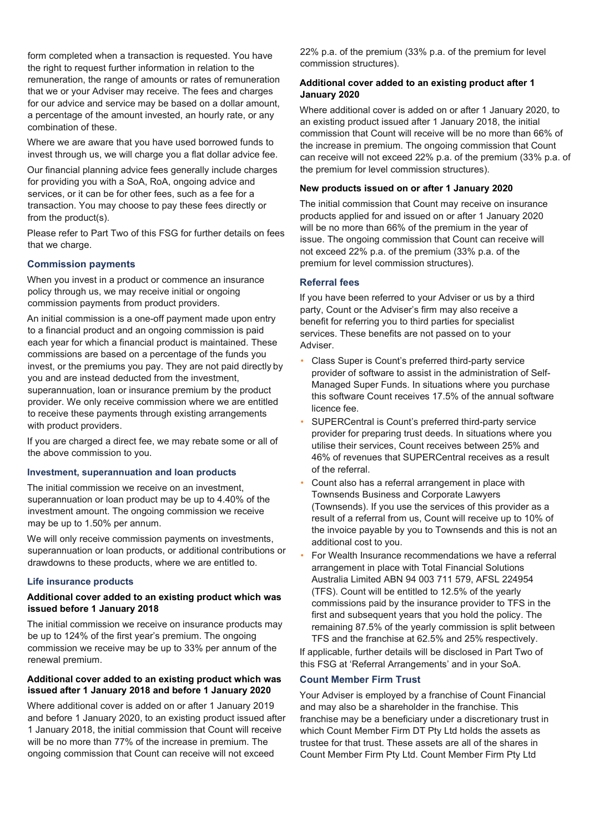form completed when a transaction is requested. You have the right to request further information in relation to the remuneration, the range of amounts or rates of remuneration that we or your Adviser may receive. The fees and charges for our advice and service may be based on a dollar amount, a percentage of the amount invested, an hourly rate, or any combination of these.

Where we are aware that you have used borrowed funds to invest through us, we will charge you a flat dollar advice fee.

Our financial planning advice fees generally include charges for providing you with a SoA, RoA, ongoing advice and services, or it can be for other fees, such as a fee for a transaction. You may choose to pay these fees directly or from the product(s).

Please refer to Part Two of this FSG for further details on fees that we charge.

#### **Commission payments**

When you invest in a product or commence an insurance policy through us, we may receive initial or ongoing commission payments from product providers.

An initial commission is a one-off payment made upon entry to a financial product and an ongoing commission is paid each year for which a financial product is maintained. These commissions are based on a percentage of the funds you invest, or the premiums you pay. They are not paid directly by you and are instead deducted from the investment, superannuation, loan or insurance premium by the product provider. We only receive commission where we are entitled to receive these payments through existing arrangements with product providers.

If you are charged a direct fee, we may rebate some or all of the above commission to you.

#### **Investment, superannuation and loan products**

The initial commission we receive on an investment, superannuation or loan product may be up to 4.40% of the investment amount. The ongoing commission we receive may be up to 1.50% per annum.

We will only receive commission payments on investments, superannuation or loan products, or additional contributions or drawdowns to these products, where we are entitled to.

#### **Life insurance products**

#### **Additional cover added to an existing product which was issued before 1 January 2018**

The initial commission we receive on insurance products may be up to 124% of the first year's premium. The ongoing commission we receive may be up to 33% per annum of the renewal premium.

#### **Additional cover added to an existing product which was issued after 1 January 2018 and before 1 January 2020**

Where additional cover is added on or after 1 January 2019 and before 1 January 2020, to an existing product issued after 1 January 2018, the initial commission that Count will receive will be no more than 77% of the increase in premium. The ongoing commission that Count can receive will not exceed

22% p.a. of the premium (33% p.a. of the premium for level commission structures).

#### **Additional cover added to an existing product after 1 January 2020**

Where additional cover is added on or after 1 January 2020, to an existing product issued after 1 January 2018, the initial commission that Count will receive will be no more than 66% of the increase in premium. The ongoing commission that Count can receive will not exceed 22% p.a. of the premium (33% p.a. of the premium for level commission structures).

#### **New products issued on or after 1 January 2020**

The initial commission that Count may receive on insurance products applied for and issued on or after 1 January 2020 will be no more than 66% of the premium in the year of issue. The ongoing commission that Count can receive will not exceed 22% p.a. of the premium (33% p.a. of the premium for level commission structures).

#### **Referral fees**

If you have been referred to your Adviser or us by a third party, Count or the Adviser's firm may also receive a benefit for referring you to third parties for specialist services. These benefits are not passed on to your Adviser.

- Class Super is Count's preferred third-party service provider of software to assist in the administration of Self-Managed Super Funds. In situations where you purchase this software Count receives 17.5% of the annual software licence fee.
- SUPERCentral is Count's preferred third-party service provider for preparing trust deeds. In situations where you utilise their services, Count receives between 25% and 46% of revenues that SUPERCentral receives as a result of the referral.
- Count also has a referral arrangement in place with Townsends Business and Corporate Lawyers (Townsends). If you use the services of this provider as a result of a referral from us, Count will receive up to 10% of the invoice payable by you to Townsends and this is not an additional cost to you.
- For Wealth Insurance recommendations we have a referral arrangement in place with Total Financial Solutions Australia Limited ABN 94 003 711 579, AFSL 224954 (TFS). Count will be entitled to 12.5% of the yearly commissions paid by the insurance provider to TFS in the first and subsequent years that you hold the policy. The remaining 87.5% of the yearly commission is split between TFS and the franchise at 62.5% and 25% respectively.

If applicable, further details will be disclosed in Part Two of this FSG at 'Referral Arrangements' and in your SoA.

#### **Count Member Firm Trust**

Your Adviser is employed by a franchise of Count Financial and may also be a shareholder in the franchise. This franchise may be a beneficiary under a discretionary trust in which Count Member Firm DT Pty Ltd holds the assets as trustee for that trust. These assets are all of the shares in Count Member Firm Pty Ltd. Count Member Firm Pty Ltd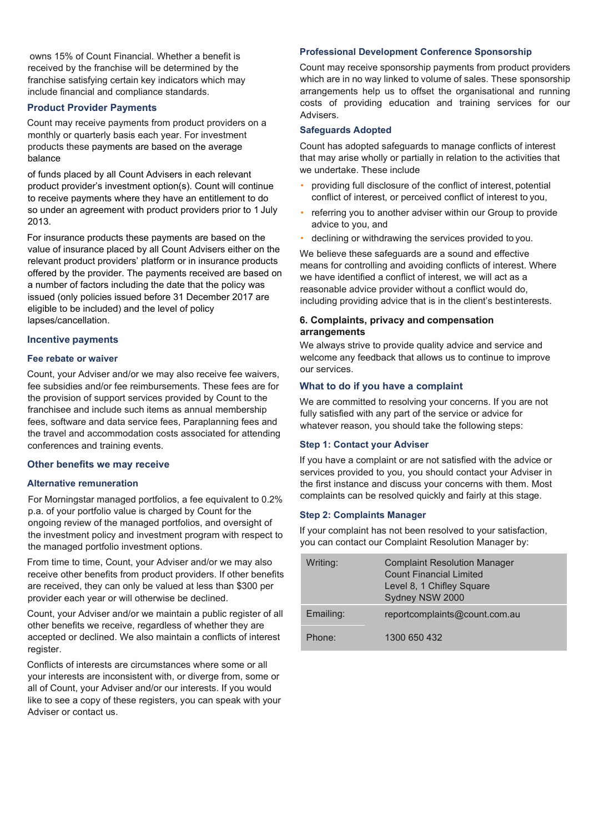owns 15% of Count Financial. Whether a benefit is received by the franchise will be determined by the franchise satisfying certain key indicators which may include financial and compliance standards.

#### **Product Provider Payments**

Count may receive payments from product providers on a monthly or quarterly basis each year. For investment products these payments are based on the average balance

of funds placed by all Count Advisers in each relevant product provider's investment option(s). Count will continue to receive payments where they have an entitlement to do so under an agreement with product providers prior to 1 July 2013.

For insurance products these payments are based on the value of insurance placed by all Count Advisers either on the relevant product providers' platform or in insurance products offered by the provider. The payments received are based on a number of factors including the date that the policy was issued (only policies issued before 31 December 2017 are eligible to be included) and the level of policy lapses/cancellation.

#### **Incentive payments**

#### **Fee rebate or waiver**

Count, your Adviser and/or we may also receive fee waivers, fee subsidies and/or fee reimbursements. These fees are for the provision of support services provided by Count to the franchisee and include such items as annual membership fees, software and data service fees, Paraplanning fees and the travel and accommodation costs associated for attending conferences and training events.

#### **Other benefits we may receive**

#### **Alternative remuneration**

For Morningstar managed portfolios, a fee equivalent to 0.2% p.a. of your portfolio value is charged by Count for the ongoing review of the managed portfolios, and oversight of the investment policy and investment program with respect to the managed portfolio investment options.

From time to time, Count, your Adviser and/or we may also receive other benefits from product providers. If other benefits are received, they can only be valued at less than \$300 per provider each year or will otherwise be declined.

Count, your Adviser and/or we maintain a public register of all other benefits we receive, regardless of whether they are accepted or declined. We also maintain a conflicts of interest register.

Conflicts of interests are circumstances where some or all your interests are inconsistent with, or diverge from, some or all of Count, your Adviser and/or our interests. If you would like to see a copy of these registers, you can speak with your Adviser or contact us.

#### **Professional Development Conference Sponsorship**

Count may receive sponsorship payments from product providers which are in no way linked to volume of sales. These sponsorship arrangements help us to offset the organisational and running costs of providing education and training services for our Advisers.

#### **Safeguards Adopted**

Count has adopted safeguards to manage conflicts of interest that may arise wholly or partially in relation to the activities that we undertake. These include

- providing full disclosure of the conflict of interest, potential conflict of interest, or perceived conflict of interest to you,
- referring you to another adviser within our Group to provide advice to you, and
- declining or withdrawing the services provided to you.

We believe these safeguards are a sound and effective means for controlling and avoiding conflicts of interest. Where we have identified a conflict of interest, we will act as a reasonable advice provider without a conflict would do, including providing advice that is in the client's bestinterests.

#### **6. Complaints, privacy and compensation arrangements**

We always strive to provide quality advice and service and welcome any feedback that allows us to continue to improve our services.

#### **What to do if you have a complaint**

We are committed to resolving your concerns. If you are not fully satisfied with any part of the service or advice for whatever reason, you should take the following steps:

#### **Step 1: Contact your Adviser**

If you have a complaint or are not satisfied with the advice or services provided to you, you should contact your Adviser in the first instance and discuss your concerns with them. Most complaints can be resolved quickly and fairly at this stage.

#### **Step 2: Complaints Manager**

If your complaint has not been resolved to your satisfaction, you can contact our Complaint Resolution Manager by:

| Writing:  | <b>Complaint Resolution Manager</b><br><b>Count Financial Limited</b><br>Level 8, 1 Chifley Square<br>Sydney NSW 2000 |
|-----------|-----------------------------------------------------------------------------------------------------------------------|
| Emailing: | reportcomplaints@count.com.au                                                                                         |
| Phone:    | 1300 650 432                                                                                                          |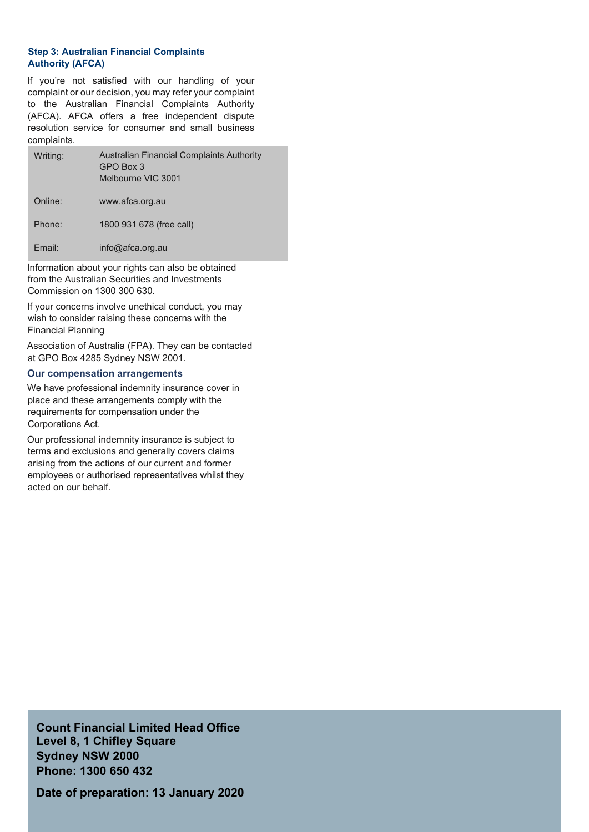#### **Step 3: Australian Financial Complaints Authority (AFCA)**

If you're not satisfied with our handling of your complaint or our decision, you may refer your complaint to the Australian Financial Complaints Authority (AFCA). AFCA offers a free independent dispute resolution service for consumer and small business complaints.

| Writing: | <b>Australian Financial Complaints Authority</b><br>GPO Box 3<br>Melbourne VIC 3001 |
|----------|-------------------------------------------------------------------------------------|
| Online:  | www.afca.org.au                                                                     |
| Phone:   | 1800 931 678 (free call)                                                            |
| Fmail:   | $info@a$ fca.org.au                                                                 |

Information about your rights can also be obtained from the Australian Securities and Investments Commission on 1300 300 630.

If your concerns involve unethical conduct, you may wish to consider raising these concerns with the Financial Planning

Association of Australia (FPA). They can be contacted at GPO Box 4285 Sydney NSW 2001.

#### **Our compensation arrangements**

We have professional indemnity insurance cover in place and these arrangements comply with the requirements for compensation under the Corporations Act.

Our professional indemnity insurance is subject to terms and exclusions and generally covers claims arising from the actions of our current and former employees or authorised representatives whilst they acted on our behalf.

**Count Financial Limited Head Office Level 8, 1 Chifley Square Sydney NSW 2000 Phone: 1300 650 432**

**Date of preparation: 13 January 2020**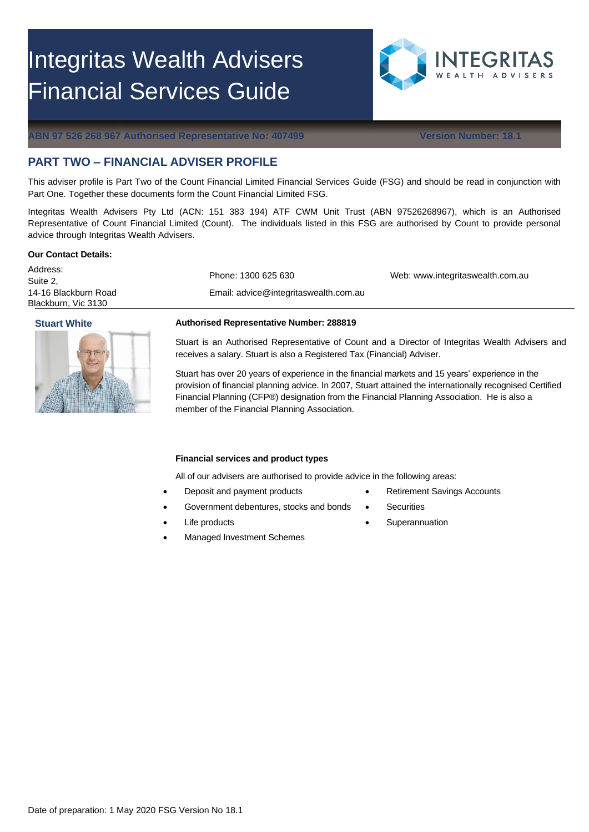# Integritas Wealth Advisers Financial Services Guide



**ABN 97 526 268 967 Authorised Representative No: 407499 Version Number: 18.1**

### **PART TWO – FINANCIAL ADVISER PROFILE**

This adviser profile is Part Two of the Count Financial Limited Financial Services Guide (FSG) and should be read in conjunction with Part One. Together these documents form the Count Financial Limited FSG.

Integritas Wealth Advisers Pty Ltd (ACN: 151 383 194) ATF CWM Unit Trust (ABN 97526268967), which is an Authorised Representative of Count Financial Limited (Count). The individuals listed in this FSG are authorised by Count to provide personal advice through Integritas Wealth Advisers.

#### **Our Contact Details:**

Address: Suite 2, 14-16 Blackburn Road Blackburn, Vic 3130



Phone: 1300 625 630

Email: advice@integritaswealth.com.au

Web: www.integritaswealth.com.au

#### **Stuart White Authorised Representative Number: 288819**

Stuart is an Authorised Representative of Count and a Director of Integritas Wealth Advisers and receives a salary. Stuart is also a Registered Tax (Financial) Adviser.

Stuart has over 20 years of experience in the financial markets and 15 years' experience in the provision of financial planning advice. In 2007, Stuart attained the internationally recognised Certified Financial Planning (CFP®) designation from the Financial Planning Association. He is also a member of the Financial Planning Association.

#### **Financial services and product types**

All of our advisers are authorised to provide advice in the following areas:

- Deposit and payment products
- Government debentures, stocks and bonds
- Life products
- Managed Investment Schemes
- Retirement Savings Accounts
- **Securities**
- **Superannuation**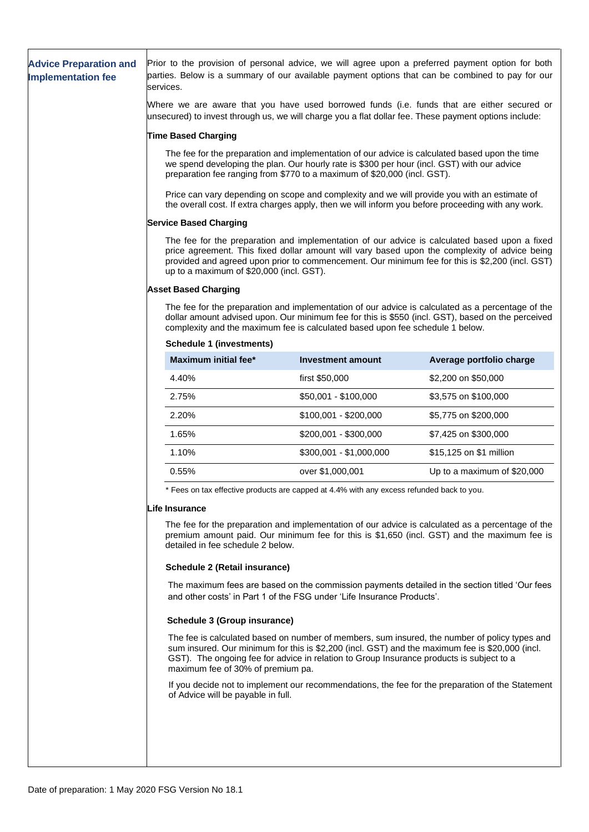| <b>Advice Preparation and</b><br><b>Implementation fee</b>                                                                                                                                                                            | Prior to the provision of personal advice, we will agree upon a preferred payment option for both<br>parties. Below is a summary of our available payment options that can be combined to pay for our<br>services.                                                                                                                            |                                                                                                                                                                                                    |                                                                                                                                                                                                  |  |  |  |
|---------------------------------------------------------------------------------------------------------------------------------------------------------------------------------------------------------------------------------------|-----------------------------------------------------------------------------------------------------------------------------------------------------------------------------------------------------------------------------------------------------------------------------------------------------------------------------------------------|----------------------------------------------------------------------------------------------------------------------------------------------------------------------------------------------------|--------------------------------------------------------------------------------------------------------------------------------------------------------------------------------------------------|--|--|--|
|                                                                                                                                                                                                                                       | Where we are aware that you have used borrowed funds (i.e. funds that are either secured or<br>unsecured) to invest through us, we will charge you a flat dollar fee. These payment options include:                                                                                                                                          |                                                                                                                                                                                                    |                                                                                                                                                                                                  |  |  |  |
|                                                                                                                                                                                                                                       | <b>Time Based Charging</b>                                                                                                                                                                                                                                                                                                                    |                                                                                                                                                                                                    |                                                                                                                                                                                                  |  |  |  |
|                                                                                                                                                                                                                                       | The fee for the preparation and implementation of our advice is calculated based upon the time<br>we spend developing the plan. Our hourly rate is \$300 per hour (incl. GST) with our advice<br>preparation fee ranging from \$770 to a maximum of \$20,000 (incl. GST).                                                                     |                                                                                                                                                                                                    |                                                                                                                                                                                                  |  |  |  |
|                                                                                                                                                                                                                                       |                                                                                                                                                                                                                                                                                                                                               | Price can vary depending on scope and complexity and we will provide you with an estimate of<br>the overall cost. If extra charges apply, then we will inform you before proceeding with any work. |                                                                                                                                                                                                  |  |  |  |
|                                                                                                                                                                                                                                       | <b>Service Based Charging</b>                                                                                                                                                                                                                                                                                                                 |                                                                                                                                                                                                    |                                                                                                                                                                                                  |  |  |  |
|                                                                                                                                                                                                                                       | The fee for the preparation and implementation of our advice is calculated based upon a fixed<br>price agreement. This fixed dollar amount will vary based upon the complexity of advice being<br>provided and agreed upon prior to commencement. Our minimum fee for this is \$2,200 (incl. GST)<br>up to a maximum of \$20,000 (incl. GST). |                                                                                                                                                                                                    |                                                                                                                                                                                                  |  |  |  |
|                                                                                                                                                                                                                                       | <b>Asset Based Charging</b>                                                                                                                                                                                                                                                                                                                   |                                                                                                                                                                                                    |                                                                                                                                                                                                  |  |  |  |
|                                                                                                                                                                                                                                       | The fee for the preparation and implementation of our advice is calculated as a percentage of the<br>dollar amount advised upon. Our minimum fee for this is \$550 (incl. GST), based on the perceived<br>complexity and the maximum fee is calculated based upon fee schedule 1 below.                                                       |                                                                                                                                                                                                    |                                                                                                                                                                                                  |  |  |  |
|                                                                                                                                                                                                                                       | <b>Schedule 1 (investments)</b>                                                                                                                                                                                                                                                                                                               |                                                                                                                                                                                                    |                                                                                                                                                                                                  |  |  |  |
|                                                                                                                                                                                                                                       | <b>Maximum initial fee*</b>                                                                                                                                                                                                                                                                                                                   | <b>Investment amount</b>                                                                                                                                                                           | Average portfolio charge                                                                                                                                                                         |  |  |  |
|                                                                                                                                                                                                                                       | 4.40%                                                                                                                                                                                                                                                                                                                                         | first \$50,000                                                                                                                                                                                     | \$2,200 on \$50,000                                                                                                                                                                              |  |  |  |
|                                                                                                                                                                                                                                       | 2.75%                                                                                                                                                                                                                                                                                                                                         | \$50,001 - \$100,000                                                                                                                                                                               | \$3,575 on \$100,000                                                                                                                                                                             |  |  |  |
|                                                                                                                                                                                                                                       | 2.20%                                                                                                                                                                                                                                                                                                                                         | $$100,001 - $200,000$                                                                                                                                                                              | \$5,775 on \$200,000                                                                                                                                                                             |  |  |  |
|                                                                                                                                                                                                                                       | 1.65%                                                                                                                                                                                                                                                                                                                                         | \$200,001 - \$300,000                                                                                                                                                                              | \$7,425 on \$300,000                                                                                                                                                                             |  |  |  |
|                                                                                                                                                                                                                                       | 1.10%                                                                                                                                                                                                                                                                                                                                         | \$300,001 - \$1,000,000                                                                                                                                                                            | \$15,125 on \$1 million                                                                                                                                                                          |  |  |  |
|                                                                                                                                                                                                                                       | 0.55%                                                                                                                                                                                                                                                                                                                                         | over \$1,000,001                                                                                                                                                                                   | Up to a maximum of \$20,000                                                                                                                                                                      |  |  |  |
|                                                                                                                                                                                                                                       | * Fees on tax effective products are capped at 4.4% with any excess refunded back to you.                                                                                                                                                                                                                                                     |                                                                                                                                                                                                    |                                                                                                                                                                                                  |  |  |  |
|                                                                                                                                                                                                                                       | Life Insurance                                                                                                                                                                                                                                                                                                                                |                                                                                                                                                                                                    |                                                                                                                                                                                                  |  |  |  |
| The fee for the preparation and implementation of our advice is calculated as a percentage of the<br>premium amount paid. Our minimum fee for this is \$1,650 (incl. GST) and the maximum fee is<br>detailed in fee schedule 2 below. |                                                                                                                                                                                                                                                                                                                                               |                                                                                                                                                                                                    |                                                                                                                                                                                                  |  |  |  |
|                                                                                                                                                                                                                                       | <b>Schedule 2 (Retail insurance)</b>                                                                                                                                                                                                                                                                                                          |                                                                                                                                                                                                    |                                                                                                                                                                                                  |  |  |  |
|                                                                                                                                                                                                                                       | The maximum fees are based on the commission payments detailed in the section titled 'Our fees<br>and other costs' in Part 1 of the FSG under 'Life Insurance Products'.                                                                                                                                                                      |                                                                                                                                                                                                    |                                                                                                                                                                                                  |  |  |  |
|                                                                                                                                                                                                                                       | <b>Schedule 3 (Group insurance)</b>                                                                                                                                                                                                                                                                                                           |                                                                                                                                                                                                    |                                                                                                                                                                                                  |  |  |  |
|                                                                                                                                                                                                                                       | maximum fee of 30% of premium pa.                                                                                                                                                                                                                                                                                                             | GST). The ongoing fee for advice in relation to Group Insurance products is subject to a                                                                                                           | The fee is calculated based on number of members, sum insured, the number of policy types and<br>sum insured. Our minimum for this is \$2,200 (incl. GST) and the maximum fee is \$20,000 (incl. |  |  |  |
|                                                                                                                                                                                                                                       | of Advice will be payable in full.                                                                                                                                                                                                                                                                                                            |                                                                                                                                                                                                    | If you decide not to implement our recommendations, the fee for the preparation of the Statement                                                                                                 |  |  |  |
|                                                                                                                                                                                                                                       |                                                                                                                                                                                                                                                                                                                                               |                                                                                                                                                                                                    |                                                                                                                                                                                                  |  |  |  |